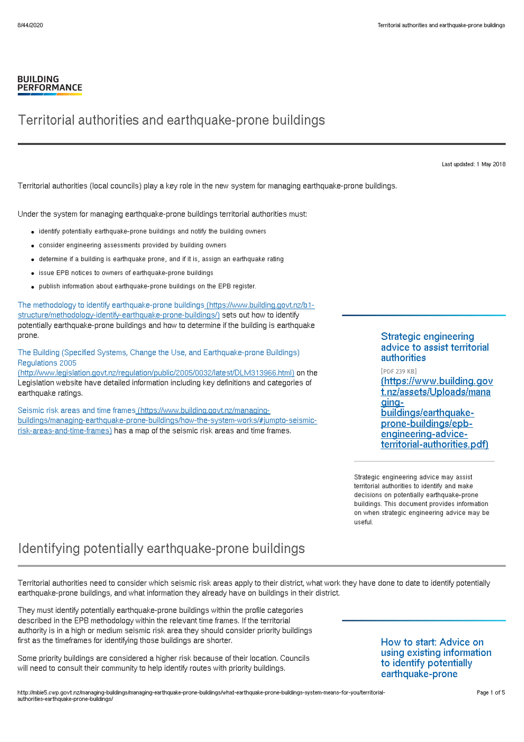#### **BUILDING PERFORMANCE**

### Territorial authorities and earthquake-prone buildings

Last updated: 1 May 2018

Territorial authorities (local councils) play a key role in the new system for managing earthquake-prone buildings.

Under the system for managing earthquake-prone buildings territorial authorities must:

- identify potentially earthquake-prone buildings and notify the building owners
- consider engineering assessments provided by building owners
- determine if a building is earthquake prone, and if it is, assign an earthquake rating
- issue EPB notices to owners of earthquake-prone buildings
- publish information about earthquake-prone buildings on the EPB register.

The methodology to identify earthquake-prone buildings (https://www.building.govt.nz/b1 [structure/methodology-identify-earthquake-prone-buildings/\)](http://mbie5.cwp.govt.nz/b1-structure/methodology-identify-earthquake-prone-buildings/) sets out how to identify potentially earthquake-prone buildings and how to determine if the building is earthquake prone.

The Building (Specified Systems, Change the Use, and Earthquake-prone Buildings) Regulations 2005

[\(http://www.legislation.govt.nz/regulation/public/2005/0032/latest/DLM313966.html\)](http://www.legislation.govt.nz/regulation/public/2005/0032/latest/DLM313966.html) on the Legislation website have detailed information including key definitions and categories of earthquake ratings.

Seismic risk areas and time frames (https://www.building.govt.nz/managing[buildings/managing-earthquake-prone-buildings/how-the-system-works/#jumpto-seismic](http://mbie5.cwp.govt.nz/managing-buildings/managing-earthquake-prone-buildings/how-the-system-works/#jumpto-seismic-risk-areas-and-time-frames)risk-areas-and-time-frames) has a map of the seismic risk areas and time frames.

#### Strategic engineering advice to assist territorial authorities

[PDF 239 KB] [\(https://www.building.gov](http://mbie5.cwp.govt.nz/assets/Uploads/managing-buildings/earthquake-prone-buildings/epb-engineering-advice-territorial-authorities.pdf) t.nz/assets/Uploads/mana gingbuildings/earthquakeprone-buildings/epbengineering-adviceterritorial-authorities.pdf)

Strategic engineering advice may assist territorial authorities to identify and make decisions on potentially earthquake-prone buildings. This document provides information on when strategic engineering advice may be useful.

### Identifying potentially earthquake-prone buildings

Territorial authorities need to consider which seismic risk areas apply to their district, what work they have done to date to identify potentially earthquake-prone buildings, and what information they already have on buildings in their district.

They must identify potentially earthquake-prone buildings within the profile categories described in the EPB methodology within the relevant time frames. If the territorial authority is in a high or medium seismic risk area they should consider priority buildings first as the timeframes for identifying those buildings are shorter.

Some priority buildings are considered a higher risk because of their location. Councils will need to consult their community to help identify routes with priority buildings.

### How to start: Advice on using existing information to identify potentially earthquake-prone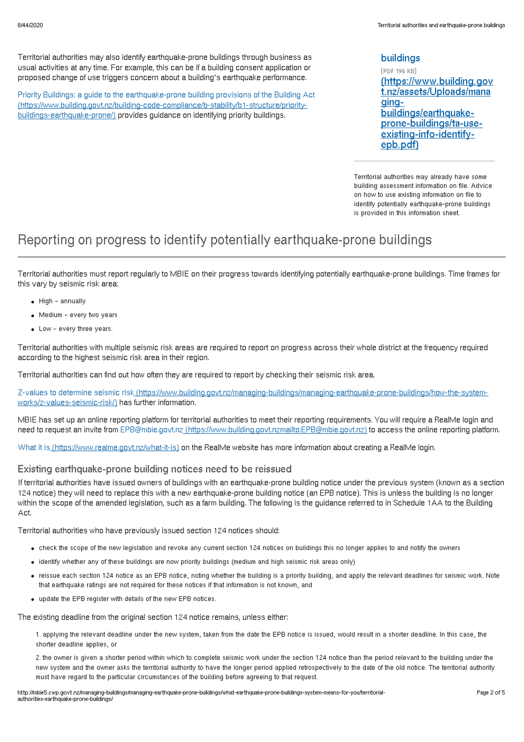Territorial authorities may also identify earthquake-prone buildings through business as usual activities at any time. For example, this can be if a building consent application or proposed change of use triggers concern about a building's earthquake performance.

Priority Buildings: a guide to the earthquake-prone building provisions of the Building Act [\(https://www.building.govt.nz/building-code-compliance/b-stability/b1-structure/priority](http://mbie5.cwp.govt.nz/building-code-compliance/b-stability/b1-structure/priority-buildings-earthquake-prone/)buildings-earthquake-prone/) provides guidance on identifying priority buildings.

#### buildings

[PDF 196 KB] [\(https://www.building.gov](http://mbie5.cwp.govt.nz/assets/Uploads/managing-buildings/earthquake-prone-buildings/ta-use-existing-info-identify-epb.pdf) t.nz/assets/Uploads/mana gingbuildings/earthquakeprone-buildings/ta-useexisting-info-identifyepb.pdf)

Territorial authorities may already have some building assessment information on file. Advice on how to use existing information on file to identify potentially earthquake-prone buildings is provided in this information sheet.

### Reporting on progress to identify potentially earthquake-prone buildings

Territorial authorities must report regularly to MBIE on their progress towards identifying potentially earthquake-prone buildings. Time frames for this vary by seismic risk area:

- High annually
- Medium every two years
- Low every three years.

Territorial authorities with multiple seismic risk areas are required to report on progress across their whole district at the frequency required according to the highest seismic risk area in their region.

Territorial authorities can find out how often they are required to report by checking their seismic risk area.

Z-values to determine seismic risk [\(https://www.building.govt.nz/managing-buildings/managing-earthquake-prone-buildings/how-the-system](http://mbie5.cwp.govt.nz/managing-buildings/managing-earthquake-prone-buildings/how-the-system-works/z-values-seismic-risk/)works/z-values-seismic-risk/) has further information.

MBIE has set up an online reporting platform for territorial authorities to meet their reporting requirements. You will require a RealMe login and need to request an invite from EPB@mbie.govt.nz [\(https://www.building.govt.nzmailto:EPB@mbie.govt.nz\)](mailto:EPB@mbie.govt.nz) to access the online reporting platform.

What it is [\(https://www.realme.govt.nz/what-it-is\)](https://www.realme.govt.nz/what-it-is) on the RealMe website has more information about creating a RealMe login.

#### Existing earthquake-prone building notices need to be reissued

If territorial authorities have issued owners of buildings with an earthquake-prone building notice under the previous system (known as a section 124 notice) they will need to replace this with a new earthquake-prone building notice (an EPB notice). This is unless the building is no longer within the scope of the amended legislation, such as a farm building. The following is the guidance referred to in Schedule 1AA to the Building Act.

Territorial authorities who have previously issued section 124 notices should:

- check the scope of the new legislation and revoke any current section 124 notices on buildings this no longer applies to and notify the owners
- identify whether any of these buildings are now priority buildings (medium and high seismic risk areas only)
- reissue each section 124 notice as an EPB notice, noting whether the building is a priority building, and apply the relevant deadlines for seismic work. Note that earthquake ratings are not required for these notices if that information is not known, and
- update the EPB register with details of the new EPB notices.

The existing deadline from the original section 124 notice remains, unless either:

1. applying the relevant deadline under the new system, taken from the date the EPB notice is issued, would result in a shorter deadline. In this case, the shorter deadline applies, or

2. the owner is given a shorter period within which to complete seismic work under the section 124 notice than the period relevant to the building under the new system and the owner asks the territorial authority to have the longer period applied retrospectively to the date of the old notice. The territorial authority must have regard to the particular circumstances of the building before agreeing to that request.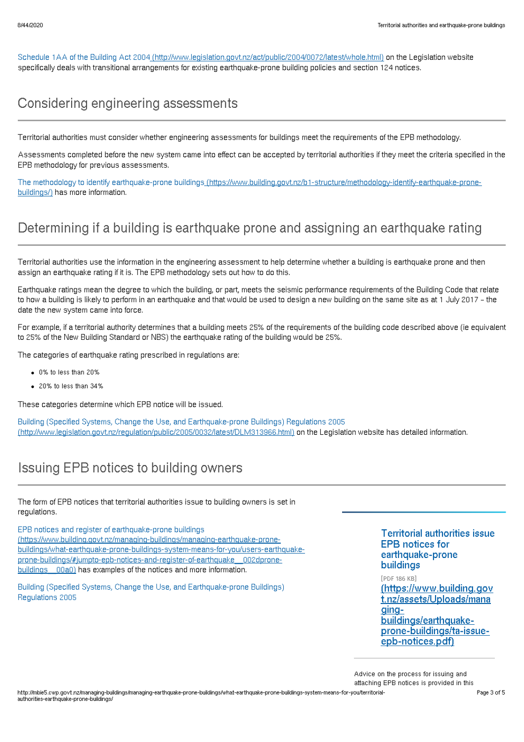Schedule 1AA of the Building Act 2004 [\(http://www.legislation.govt.nz/act/public/2004/0072/latest/whole.html\)](http://www.legislation.govt.nz/act/public/2004/0072/latest/whole.html) on the Legislation website specifically deals with transitional arrangements for existing earthquake-prone building policies and section 124 notices.

## Considering engineering assessments

Territorial authorities must consider whether engineering assessments for buildings meet the requirements of the EPB methodology.

Assessments completed before the new system came into effect can be accepted by territorial authorities if they meet the criteria specified in the EPB methodology for previous assessments.

The methodology to identify earthquake-prone buildings [\(https://www.building.govt.nz/b1-structure/methodology-identify-earthquake-prone](http://mbie5.cwp.govt.nz/b1-structure/methodology-identify-earthquake-prone-buildings/)buildings/) has more information.

# Determining if a building is earthquake prone and assigning an earthquake rating

Territorial authorities use the information in the engineering assessment to help determine whether a building is earthquake prone and then assign an earthquake rating if it is. The EPB methodology sets out how to do this.

Earthquake ratings mean the degree to which the building, or part, meets the seismic performance requirements of the Building Code that relate to how a building is likely to perform in an earthquake and that would be used to design a new building on the same site as at 1 July 2017 – the date the new system came into force.

For example, if a territorial authority determines that a building meets 25% of the requirements of the building code described above (ie equivalent to 25% of the New Building Standard or NBS) the earthquake rating of the building would be 25%.

The categories of earthquake rating prescribed in regulations are:

- 0% to less than 20%
- 20% to less than 34%

These categories determine which EPB notice will be issued.

Building (Specified Systems, Change the Use, and Earthquake-prone Buildings) Regulations 2005 [\(http://www.legislation.govt.nz/regulation/public/2005/0032/latest/DLM313966.html\)](http://www.legislation.govt.nz/regulation/public/2005/0032/latest/DLM313966.html) on the Legislation website has detailed information.

### Issuing EPB notices to building owners

The form of EPB notices that territorial authorities issue to building owners is set in regulations.

EPB notices and register of earthquake-prone buildings (https://www.building.govt.nz/managing-buildings/managing-earthquake-prone[buildings/what-earthquake-prone-buildings-system-means-for-you/users-earthquake](http://mbie5.cwp.govt.nz/managing-buildings/managing-earthquake-prone-buildings/what-earthquake-prone-buildings-system-means-for-you/users-earthquake-prone-buildings/#jumpto-epb-notices-and-register-of-earthquake__002dprone-buildings__00a0)prone-buildings/#jumpto-epb-notices-and-register-of-earthquake\_\_002dpronebuildings  $\equiv$  00a0) has examples of the notices and more information.

Building (Specified Systems, Change the Use, and Earthquake-prone Buildings) Regulations 2005

Territorial authorities issue EPB notices for earthquake-prone buildings

[PDF 186 KB] [\(https://www.building.gov](http://mbie5.cwp.govt.nz/assets/Uploads/managing-buildings/earthquake-prone-buildings/ta-issue-epb-notices.pdf) t.nz/assets/Uploads/mana gingbuildings/earthquakeprone-buildings/ta-issueepb-notices.pdf)

Advice on the process for issuing and

attaching EPB notices is provided in this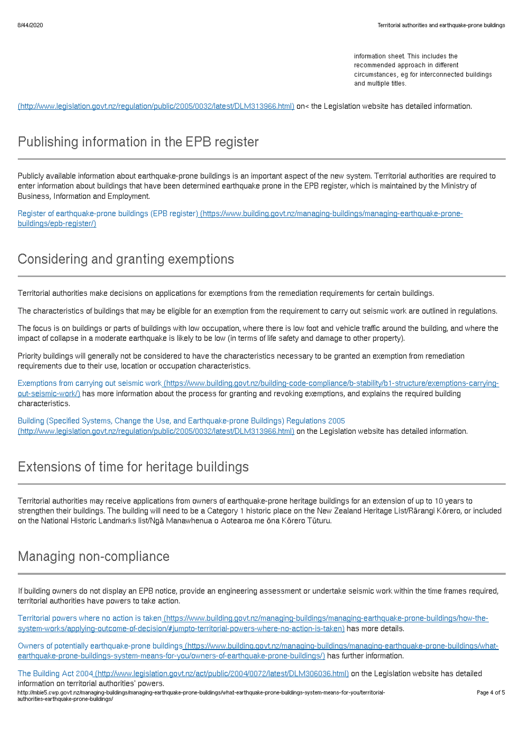information sheet. This includes the recommended approach in different circumstances, eg for interconnected buildings and multiple titles.

(http://www.legislation.govt.nz/regulation/public/2005/0032/latest/DLM313966.html) on< the Legislation website has detailed information.

## Publishing information in the EPB register

Publicly available information about earthquake-prone buildings is an important aspect of the new system. Territorial authorities are required to enter information about buildings that have been determined earthquake prone in the EPB register, which is maintained by the Ministry of Business, Information and Employment.

Register of earthquake-prone buildings (EPB register) [\(https://www.building.govt.nz/managing-buildings/managing-earthquake-prone](http://mbie5.cwp.govt.nz/managing-buildings/managing-earthquake-prone-buildings/epb-register/)buildings/epb-register/)

## Considering and granting exemptions

Territorial authorities make decisions on applications for exemptions from the remediation requirements for certain buildings.

The characteristics of buildings that may be eligible for an exemption from the requirement to carry out seismic work are outlined in regulations.

The focus is on buildings or parts of buildings with low occupation, where there is low foot and vehicle traffic around the building, and where the impact of collapse in a moderate earthquake is likely to be low (in terms of life safety and damage to other property).

Priority buildings will generally not be considered to have the characteristics necessary to be granted an exemption from remediation requirements due to their use, location or occupation characteristics.

Exemptions from carrying out seismic work [\(https://www.building.govt.nz/building-code-compliance/b-stability/b1-structure/exemptions-carrying](http://mbie5.cwp.govt.nz/building-code-compliance/b-stability/b1-structure/exemptions-carrying-out-seismic-work/)out-seismic-work/) has more information about the process for granting and revoking exemptions, and explains the required building characteristics.

Building (Specified Systems, Change the Use, and Earthquake-prone Buildings) Regulations 2005 [\(http://www.legislation.govt.nz/regulation/public/2005/0032/latest/DLM313966.html\)](http://www.legislation.govt.nz/regulation/public/2005/0032/latest/DLM313966.html) on the Legislation website has detailed information.

## Extensions of time for heritage buildings

Territorial authorities may receive applications from owners of earthquake-prone heritage buildings for an extension of up to 10 years to strengthen their buildings. The building will need to be a Category 1 historic place on the New Zealand Heritage List/Rārangi Kōrero, or included on the National Historic Landmarks list/Ngā Manawhenua o Aotearoa me ōna Kōrero Tūturu.

# Managing non-compliance

If building owners do not display an EPB notice, provide an engineering assessment or undertake seismic work within the time frames required, territorial authorities have powers to take action.

Territorial powers where no action is taken (https://www.building.govt.nz/managing-buildings/managing-earthquake-prone-buildings/how-the[system-works/applying-outcome-of-decision/#jumpto-territorial-powers-where-no-action-is-taken\)](http://mbie5.cwp.govt.nz/managing-buildings/managing-earthquake-prone-buildings/how-the-system-works/applying-outcome-of-decision/#jumpto-territorial-powers-where-no-action-is-taken) has more details.

Owners of potentially earthquake-prone buildings [\(https://www.building.govt.nz/managing-buildings/managing-earthquake-prone-buildings/what](http://mbie5.cwp.govt.nz/managing-buildings/managing-earthquake-prone-buildings/what-earthquake-prone-buildings-system-means-for-you/owners-of-earthquake-prone-buildings/)earthquake-prone-buildings-system-means-for-you/owners-of-earthquake-prone-buildings/) has further information.

The Building Act 2004 [\(http://www.legislation.govt.nz/act/public/2004/0072/latest/DLM306036.html\)](http://www.legislation.govt.nz/act/public/2004/0072/latest/DLM306036.html) on the Legislation website has detailed information on territorial authorities' powers.

http://mbie5.cwp.govt.nz/managing-buildings/managing-earthquake-prone-buildings/what-earthquake-prone-buildings-system-means-for-you/territorialauthorities-earthquake-prone-buildings/